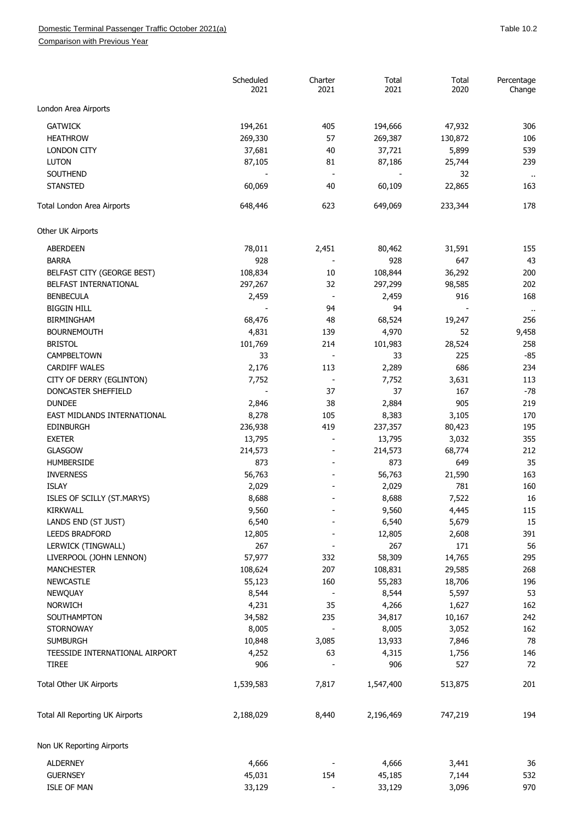Comparison with Previous Year

|                                 | Scheduled<br>2021 | Charter<br>2021          | Total<br>2021 | Total<br>2020 | Percentage<br>Change        |
|---------------------------------|-------------------|--------------------------|---------------|---------------|-----------------------------|
| London Area Airports            |                   |                          |               |               |                             |
| <b>GATWICK</b>                  | 194,261           | 405                      | 194,666       | 47,932        | 306                         |
| <b>HEATHROW</b>                 | 269,330           | 57                       | 269,387       | 130,872       | 106                         |
| <b>LONDON CITY</b>              | 37,681            | 40                       | 37,721        | 5,899         | 539                         |
| <b>LUTON</b>                    | 87,105            | 81                       | 87,186        | 25,744        | 239                         |
| SOUTHEND                        |                   | $\blacksquare$           |               | 32            |                             |
| <b>STANSTED</b>                 | 60,069            | 40                       | 60,109        | 22,865        | $\sim$<br>163               |
| Total London Area Airports      | 648,446           | 623                      | 649,069       | 233,344       | 178                         |
| Other UK Airports               |                   |                          |               |               |                             |
| <b>ABERDEEN</b>                 | 78,011            | 2,451                    | 80,462        | 31,591        | 155                         |
| <b>BARRA</b>                    | 928               |                          | 928           | 647           | 43                          |
| BELFAST CITY (GEORGE BEST)      | 108,834           | 10                       | 108,844       | 36,292        | 200                         |
| BELFAST INTERNATIONAL           | 297,267           | 32                       | 297,299       | 98,585        | 202                         |
| <b>BENBECULA</b>                | 2,459             | $\overline{\phantom{a}}$ | 2,459         | 916           | 168                         |
| <b>BIGGIN HILL</b>              |                   | 94                       | 94            |               |                             |
| <b>BIRMINGHAM</b>               | 68,476            | 48                       | 68,524        | 19,247        | $\ddot{\phantom{a}}$<br>256 |
| <b>BOURNEMOUTH</b>              | 4,831             | 139                      | 4,970         | 52            | 9,458                       |
| <b>BRISTOL</b>                  | 101,769           | 214                      |               | 28,524        | 258                         |
|                                 |                   |                          | 101,983       |               |                             |
| CAMPBELTOWN                     | 33                | $\overline{\phantom{a}}$ | 33            | 225           | $-85$                       |
| <b>CARDIFF WALES</b>            | 2,176             | 113                      | 2,289         | 686           | 234                         |
| CITY OF DERRY (EGLINTON)        | 7,752             | $\overline{\phantom{m}}$ | 7,752         | 3,631         | 113                         |
| DONCASTER SHEFFIELD             |                   | 37                       | 37            | 167           | $-78$                       |
| <b>DUNDEE</b>                   | 2,846             | 38                       | 2,884         | 905           | 219                         |
| EAST MIDLANDS INTERNATIONAL     | 8,278             | 105                      | 8,383         | 3,105         | 170                         |
| <b>EDINBURGH</b>                | 236,938           | 419                      | 237,357       | 80,423        | 195                         |
| <b>EXETER</b>                   | 13,795            |                          | 13,795        | 3,032         | 355                         |
| <b>GLASGOW</b>                  | 214,573           | $\overline{a}$           | 214,573       | 68,774        | 212                         |
| HUMBERSIDE                      | 873               |                          | 873           | 649           | 35                          |
| <b>INVERNESS</b>                | 56,763            |                          | 56,763        | 21,590        | 163                         |
| <b>ISLAY</b>                    | 2,029             |                          | 2,029         | 781           | 160                         |
| ISLES OF SCILLY (ST.MARYS)      | 8,688             |                          | 8,688         | 7,522         | 16                          |
| KIRKWALL                        | 9,560             |                          | 9,560         | 4,445         | 115                         |
| LANDS END (ST JUST)             | 6,540             |                          | 6,540         | 5,679         | 15                          |
| <b>LEEDS BRADFORD</b>           | 12,805            |                          | 12,805        | 2,608         | 391                         |
| LERWICK (TINGWALL)              | 267               |                          | 267           | 171           | 56                          |
| LIVERPOOL (JOHN LENNON)         | 57,977            | 332                      | 58,309        | 14,765        | 295                         |
| <b>MANCHESTER</b>               | 108,624           | 207                      | 108,831       | 29,585        | 268                         |
| <b>NEWCASTLE</b>                | 55,123            | 160                      | 55,283        | 18,706        | 196                         |
| NEWQUAY                         | 8,544             |                          | 8,544         | 5,597         | 53                          |
|                                 |                   |                          |               |               |                             |
| <b>NORWICH</b>                  | 4,231             | 35                       | 4,266         | 1,627         | 162                         |
| SOUTHAMPTON                     | 34,582            | 235                      | 34,817        | 10,167        | 242                         |
| <b>STORNOWAY</b>                | 8,005             |                          | 8,005         | 3,052         | 162                         |
| <b>SUMBURGH</b>                 | 10,848            | 3,085                    | 13,933        | 7,846         | 78                          |
| TEESSIDE INTERNATIONAL AIRPORT  | 4,252             | 63                       | 4,315         | 1,756         | 146                         |
| <b>TIREE</b>                    | 906               |                          | 906           | 527           | 72                          |
| Total Other UK Airports         | 1,539,583         | 7,817                    | 1,547,400     | 513,875       | 201                         |
| Total All Reporting UK Airports | 2,188,029         | 8,440                    | 2,196,469     | 747,219       | 194                         |
| Non UK Reporting Airports       |                   |                          |               |               |                             |
| <b>ALDERNEY</b>                 | 4,666             |                          | 4,666         | 3,441         | 36                          |
| <b>GUERNSEY</b>                 | 45,031            | 154                      | 45,185        | 7,144         | 532                         |
| <b>ISLE OF MAN</b>              | 33,129            |                          | 33,129        | 3,096         | 970                         |
|                                 |                   |                          |               |               |                             |